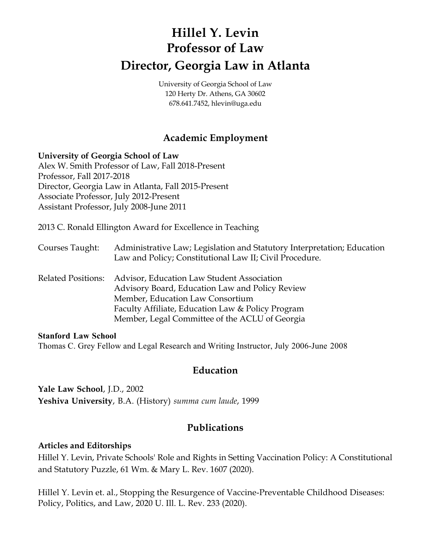# **Hillel Y. Levin Professor of Law Director, Georgia Law in Atlanta**

University of Georgia School of Law 120 Herty Dr. Athens, GA 30602 678.641.7452, hlevin@uga.edu

# **Academic Employment**

#### **University of Georgia School of Law**

Alex W. Smith Professor of Law, Fall 2018-Present Professor, Fall 2017-2018 Director, Georgia Law in Atlanta, Fall 2015-Present Associate Professor, July 2012-Present Assistant Professor, July 2008-June 2011

2013 C. Ronald Ellington Award for Excellence in Teaching

- Courses Taught: Administrative Law; Legislation and Statutory Interpretation; Education Law and Policy; Constitutional Law II; Civil Procedure.
- Related Positions: Advisor, Education Law Student Association Advisory Board, Education Law and Policy Review Member, Education Law Consortium Faculty Affiliate, Education Law & Policy Program Member, Legal Committee of the ACLU of Georgia

#### **Stanford Law School**

Thomas C. Grey Fellow and Legal Research and Writing Instructor, July 2006-June 2008

## **Education**

**Yale Law School**, J.D., 2002 **Yeshiva University**, B.A. (History) *summa cum laude*, 1999

# **Publications**

#### **Articles and Editorships**

Hillel Y. Levin, Private Schools' Role and Rights in Setting Vaccination Policy: A Constitutional and Statutory Puzzle, 61 Wm. & Mary L. Rev. 1607 (2020).

Hillel Y. Levin et. al., Stopping the Resurgence of Vaccine-Preventable Childhood Diseases: Policy, Politics, and Law, 2020 U. Ill. L. Rev. 233 (2020).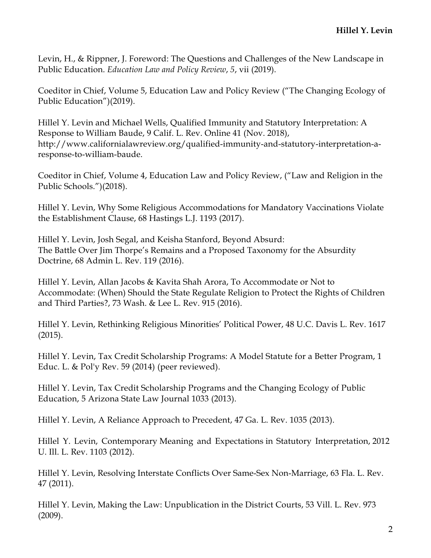Levin, H., & Rippner, J. Foreword: The Questions and Challenges of the New Landscape in Public Education. *Education Law and Policy Review*, *5*, vii (2019).

Coeditor in Chief, Volume 5, Education Law and Policy Review ("The Changing Ecology of Public Education")(2019).

Hillel Y. Levin and Michael Wells, Qualified Immunity and Statutory Interpretation: A Response to William Baude, 9 Calif. L. Rev. Online 41 (Nov. 2018), http://www.californialawreview.org/qualified-immunity-and-statutory-interpretation-aresponse-to-william-baude.

Coeditor in Chief, Volume 4, Education Law and Policy Review, ("Law and Religion in the Public Schools.")(2018).

Hillel Y. Levin, Why Some Religious Accommodations for Mandatory Vaccinations Violate the Establishment Clause, 68 Hastings L.J. 1193 (2017).

Hillel Y. Levin, Josh Segal, and Keisha Stanford, Beyond Absurd: The Battle Over Jim Thorpe's Remains and a Proposed Taxonomy for the Absurdity Doctrine, 68 Admin L. Rev. 119 (2016).

Hillel Y. Levin, Allan Jacobs & Kavita Shah Arora, To Accommodate or Not to Accommodate: (When) Should the State Regulate Religion to Protect the Rights of Children and Third Parties?, 73 Wash. & Lee L. Rev. 915 (2016).

Hillel Y. Levin, Rethinking Religious Minorities' Political Power, 48 U.C. Davis L. Rev. 1617 (2015).

Hillel Y. Levin, Tax Credit Scholarship Programs: A Model Statute for a Better Program, 1 Educ. L. & Pol'y Rev. 59 (2014) (peer reviewed).

Hillel Y. Levin, Tax Credit Scholarship Programs and the Changing Ecology of Public Education, 5 Arizona State Law Journal 1033 (2013).

Hillel Y. Levin, A Reliance Approach to Precedent, 47 Ga. L. Rev. 1035 (2013).

Hillel Y. Levin, Contemporary Meaning and Expectations in Statutory Interpretation, 2012 U. Ill. L. Rev. 1103 (2012).

Hillel Y. Levin, Resolving Interstate Conflicts Over Same-Sex Non-Marriage, 63 Fla. L. Rev. 47 (2011).

Hillel Y. Levin, Making the Law: Unpublication in the District Courts, 53 Vill. L. Rev. 973 (2009).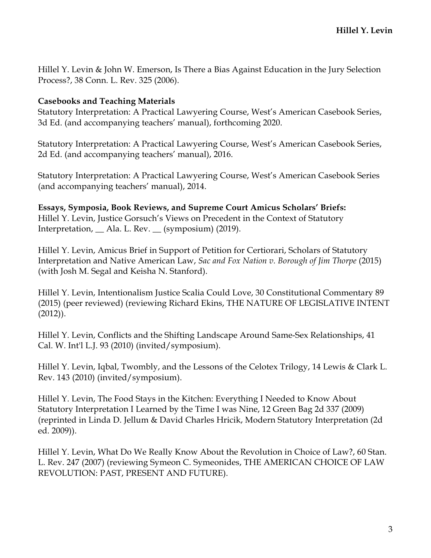Hillel Y. Levin & John W. Emerson, Is There a Bias Against Education in the Jury Selection Process?, 38 Conn. L. Rev. 325 (2006).

#### **Casebooks and Teaching Materials**

Statutory Interpretation: A Practical Lawyering Course, West's American Casebook Series, 3d Ed. (and accompanying teachers' manual), forthcoming 2020.

Statutory Interpretation: A Practical Lawyering Course, West's American Casebook Series, 2d Ed. (and accompanying teachers' manual), 2016.

Statutory Interpretation: A Practical Lawyering Course, West's American Casebook Series (and accompanying teachers' manual), 2014.

**Essays, Symposia, Book Reviews, and Supreme Court Amicus Scholars' Briefs:** Hillel Y. Levin, Justice Gorsuch's Views on Precedent in the Context of Statutory Interpretation, \_\_ Ala. L. Rev. \_\_ (symposium) (2019).

Hillel Y. Levin, Amicus Brief in Support of Petition for Certiorari, Scholars of Statutory Interpretation and Native American Law, *Sac and Fox Nation v. Borough of Jim Thorpe* (2015) (with Josh M. Segal and Keisha N. Stanford).

Hillel Y. Levin, Intentionalism Justice Scalia Could Love, 30 Constitutional Commentary 89 (2015) (peer reviewed) (reviewing Richard Ekins, THE NATURE OF LEGISLATIVE INTENT (2012)).

Hillel Y. Levin, Conflicts and the Shifting Landscape Around Same-Sex Relationships, 41 Cal. W. Int'l L.J. 93 (2010) (invited/symposium).

Hillel Y. Levin, Iqbal, Twombly, and the Lessons of the Celotex Trilogy, 14 Lewis & Clark L. Rev. 143 (2010) (invited/symposium).

Hillel Y. Levin, The Food Stays in the Kitchen: Everything I Needed to Know About Statutory Interpretation I Learned by the Time I was Nine, 12 Green Bag 2d 337 (2009) (reprinted in Linda D. Jellum & David Charles Hricik, Modern Statutory Interpretation (2d ed. 2009)).

Hillel Y. Levin, What Do We Really Know About the Revolution in Choice of Law?, 60 Stan. L. Rev. 247 (2007) (reviewing Symeon C. Symeonides, THE AMERICAN CHOICE OF LAW REVOLUTION: PAST, PRESENT AND FUTURE).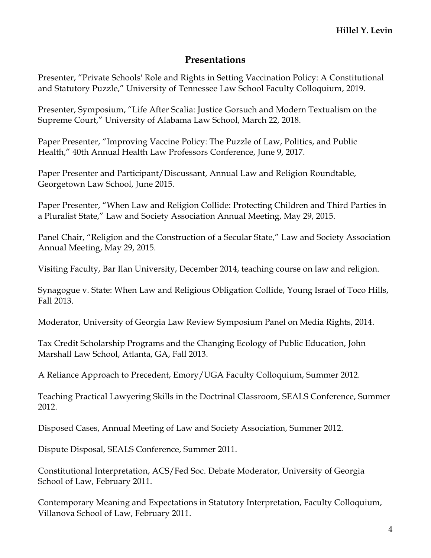## **Presentations**

Presenter, "Private Schools' Role and Rights in Setting Vaccination Policy: A Constitutional and Statutory Puzzle," University of Tennessee Law School Faculty Colloquium, 2019.

Presenter, Symposium, "Life After Scalia: Justice Gorsuch and Modern Textualism on the Supreme Court," University of Alabama Law School, March 22, 2018.

Paper Presenter, "Improving Vaccine Policy: The Puzzle of Law, Politics, and Public Health," 40th Annual Health Law Professors Conference, June 9, 2017.

Paper Presenter and Participant/Discussant, Annual Law and Religion Roundtable, Georgetown Law School, June 2015.

Paper Presenter, "When Law and Religion Collide: Protecting Children and Third Parties in a Pluralist State," Law and Society Association Annual Meeting, May 29, 2015.

Panel Chair, "Religion and the Construction of a Secular State," Law and Society Association Annual Meeting, May 29, 2015.

Visiting Faculty, Bar Ilan University, December 2014, teaching course on law and religion.

Synagogue v. State: When Law and Religious Obligation Collide, Young Israel of Toco Hills, Fall 2013.

Moderator, University of Georgia Law Review Symposium Panel on Media Rights, 2014.

Tax Credit Scholarship Programs and the Changing Ecology of Public Education, John Marshall Law School, Atlanta, GA, Fall 2013.

A Reliance Approach to Precedent, Emory/UGA Faculty Colloquium, Summer 2012.

Teaching Practical Lawyering Skills in the Doctrinal Classroom, SEALS Conference, Summer 2012.

Disposed Cases, Annual Meeting of Law and Society Association, Summer 2012.

Dispute Disposal, SEALS Conference, Summer 2011.

Constitutional Interpretation, ACS/Fed Soc. Debate Moderator, University of Georgia School of Law, February 2011.

Contemporary Meaning and Expectations in Statutory Interpretation, Faculty Colloquium, Villanova School of Law, February 2011.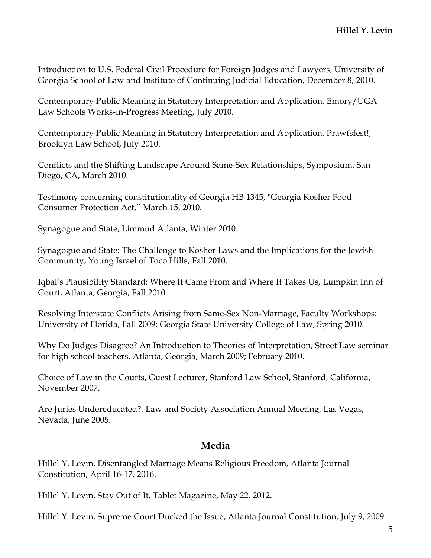Introduction to U.S. Federal Civil Procedure for Foreign Judges and Lawyers, University of Georgia School of Law and Institute of Continuing Judicial Education, December 8, 2010.

Contemporary Public Meaning in Statutory Interpretation and Application, Emory/UGA Law Schools Works-in-Progress Meeting, July 2010.

Contemporary Public Meaning in Statutory Interpretation and Application, Prawfsfest!, Brooklyn Law School, July 2010.

Conflicts and the Shifting Landscape Around Same-Sex Relationships, Symposium, San Diego, CA, March 2010.

Testimony concerning constitutionality of Georgia HB 1345, "Georgia Kosher Food Consumer Protection Act," March 15, 2010.

Synagogue and State, Limmud Atlanta, Winter 2010.

Synagogue and State: The Challenge to Kosher Laws and the Implications for the Jewish Community, Young Israel of Toco Hills, Fall 2010.

Iqbal's Plausibility Standard: Where It Came From and Where It Takes Us, Lumpkin Inn of Court, Atlanta, Georgia, Fall 2010.

Resolving Interstate Conflicts Arising from Same-Sex Non-Marriage, Faculty Workshops: University of Florida, Fall 2009; Georgia State University College of Law, Spring 2010.

Why Do Judges Disagree? An Introduction to Theories of Interpretation, Street Law seminar for high school teachers, Atlanta, Georgia, March 2009; February 2010.

Choice of Law in the Courts, Guest Lecturer, Stanford Law School, Stanford, California, November 2007.

Are Juries Undereducated?, Law and Society Association Annual Meeting, Las Vegas, Nevada, June 2005.

## **Media**

Hillel Y. Levin, Disentangled Marriage Means Religious Freedom, Atlanta Journal Constitution, April 16-17, 2016.

Hillel Y. Levin, Stay Out of It, Tablet Magazine, May 22, 2012.

Hillel Y. Levin, Supreme Court Ducked the Issue, Atlanta Journal Constitution, July 9, 2009.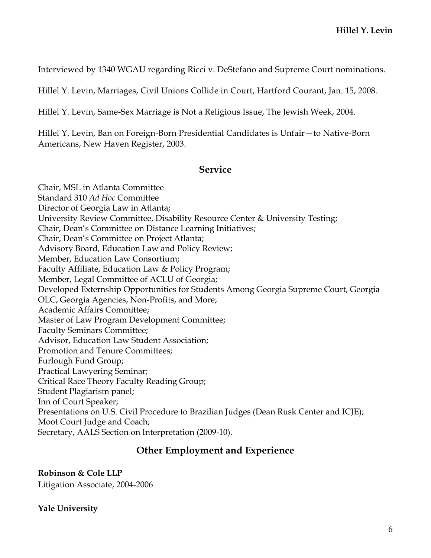Interviewed by 1340 WGAU regarding Ricci v. DeStefano and Supreme Court nominations.

Hillel Y. Levin, Marriages, Civil Unions Collide in Court, Hartford Courant, Jan. 15, 2008.

Hillel Y. Levin, Same-Sex Marriage is Not a Religious Issue, The Jewish Week, 2004.

Hillel Y. Levin, Ban on Foreign-Born Presidential Candidates is Unfair—to Native-Born Americans, New Haven Register, 2003.

#### **Service**

Chair, MSL in Atlanta Committee Standard 310 *Ad Hoc* Committee Director of Georgia Law in Atlanta; University Review Committee, Disability Resource Center & University Testing; Chair, Dean's Committee on Distance Learning Initiatives; Chair, Dean's Committee on Project Atlanta; Advisory Board, Education Law and Policy Review; Member, Education Law Consortium; Faculty Affiliate, Education Law & Policy Program; Member, Legal Committee of ACLU of Georgia; Developed Externship Opportunities for Students Among Georgia Supreme Court, Georgia OLC, Georgia Agencies, Non-Profits, and More; Academic Affairs Committee; Master of Law Program Development Committee; Faculty Seminars Committee; Advisor, Education Law Student Association; Promotion and Tenure Committees; Furlough Fund Group; Practical Lawyering Seminar; Critical Race Theory Faculty Reading Group; Student Plagiarism panel; Inn of Court Speaker; Presentations on U.S. Civil Procedure to Brazilian Judges (Dean Rusk Center and ICJE); Moot Court Judge and Coach; Secretary, AALS Section on Interpretation (2009-10).

## **Other Employment and Experience**

**Robinson & Cole LLP** Litigation Associate, 2004-2006

**Yale University**